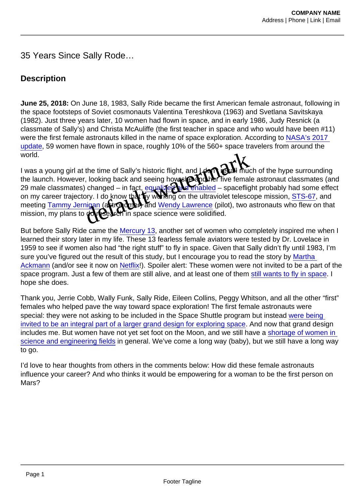35 Years Since Sally Rode…

## **Description**

June 25, 2018: On June 18, 1983, Sally Ride became the first American female astronaut, following in the space footsteps of Soviet cosmonauts Valentina Tereshkova (1963) and Svetlana Savitskaya (1982). Just three years later, 10 women had flown in space, and in early 1986, Judy Resnick (a classmate of Sally's) and Christa McAuliffe (the first teacher in space and who would have been #11) were the first female astronauts killed in the name of space exploration. According to [NASA's 2017](https://history.nasa.gov/women.html)  [update,](https://history.nasa.gov/women.html) 59 women have flown in space, roughly 10% of the 560+ space travelers from around the world.

I was a young girl at the time of Sally's historic flight, and Loon't recall much of the hype surrounding the launch. However, looking back and seeing how the match five female astronaut classmates (and<br>29 male classmates) changed – in fact, equalies and enabled – spaceflight probably had some effect  $\frac{1}{2}$  enabled – spaceflight probably had some effect on my career trajectory. I do know that wworking on the ultraviolet telescope mission, [STS-67](https://www.nasa.gov/mission_pages/shuttle/shuttlemissions/archives/sts-67.html), and meeting [Tammy Jernigan](https://www.jsc.nasa.gov/Bios/htmlbios/jernigan.html) (astronomer) and Wendy Lawrence (pilot), two astronauts who flew on that mission, my plans to **do research in** space science were solidified. ave flown in space, roughly 10% of the 560+ space traveler<br>the time of Sally's historic flight, and Look Contribute of<br>it, looking back and seeing how the five female as<br>it) changed – in fact gouslip of the line of the fiv

But before Sally Ride came the [Mercury 13,](http://www.marthaackmann.com/ackmann-mercury13-overview.htm) another set of women who completely inspired me when I learned their story later in my life. These 13 fearless female aviators were tested by Dr. Lovelace in 1959 to see if women also had "the right stuff" to fly in space. Given that Sally didn't fly until 1983, I'm sure you've figured out the result of this study, but I encourage you to read the story by [Martha](http://www.marthaackmann.com/)  [Ackmann](http://www.marthaackmann.com/) (and/or see it now on [Netflix](https://www.rottentomatoes.com/m/mercury_13/)!). Spoiler alert: These women were not invited to be a part of the space program. Just a few of them are still alive, and at least one of them [still wants to fly in space.](https://www.npr.org/2017/08/04/541415269/this-pilot-is-headed-to-space-with-or-without-nasa) I hope she does.

Thank you, Jerrie Cobb, Wally Funk, Sally Ride, Eileen Collins, Peggy Whitson, and all the other "first" females who helped pave the way toward space exploration! The first female astronauts were special: they were not asking to be included in the Space Shuttle program but instead [were being](https://www.smithsonianmag.com/science-nature/sally-k-rides-legacy-encouraging-young-women-embrace-science-and-engineering-180969392/)  [invited to be an integral part of a larger grand design for exploring space.](https://www.smithsonianmag.com/science-nature/sally-k-rides-legacy-encouraging-young-women-embrace-science-and-engineering-180969392/) And now that grand design includes me. But women have not yet set foot on the Moon, and we still have a [shortage of women in](http://www.esa.doc.gov/sites/default/files/womeninstemagaptoinnovation8311.pdf)  [science and engineering fields](http://www.esa.doc.gov/sites/default/files/womeninstemagaptoinnovation8311.pdf) in general. We've come a long way (baby), but we still have a long way to go.

I'd love to hear thoughts from others in the comments below: How did these female astronauts influence your career? And who thinks it would be empowering for a woman to be the first person on Mars?